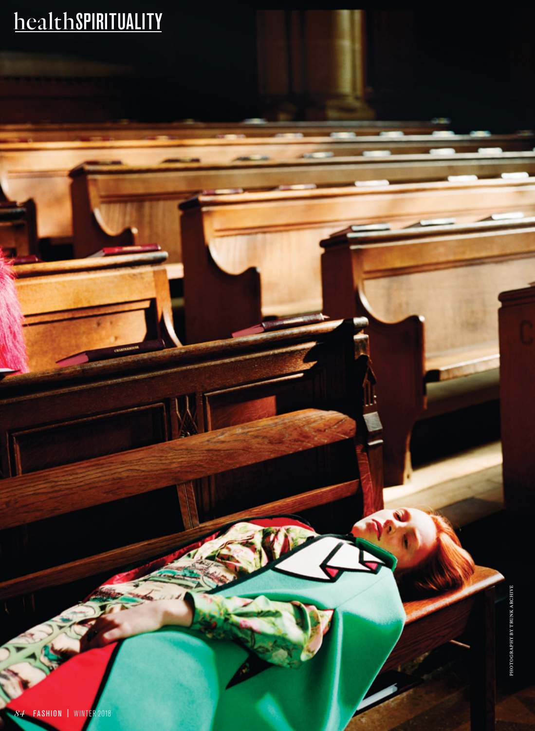## healthspirituality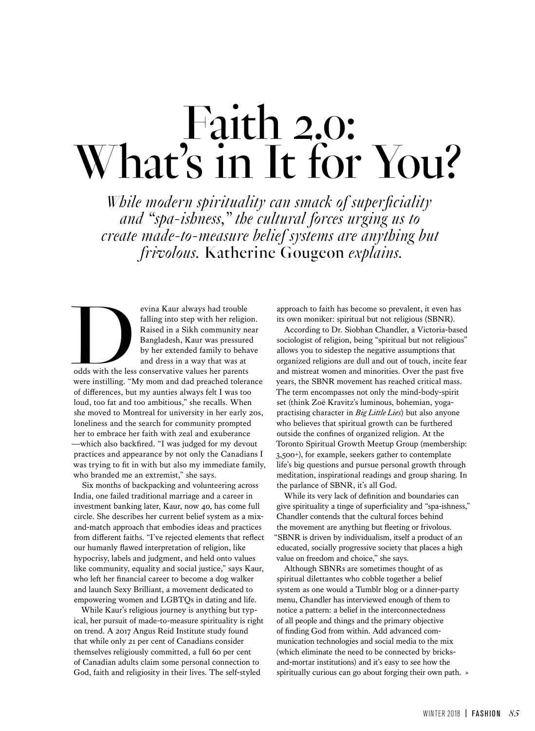# Faith 2.0: What's in It for You?

*While modern spirituality can smack of superficiality and "spa-ishness," the cultural forces urging us to create made-to-measure belief systems are anything but frivolous.* Katherine Gougeon *explains.*

evina Kaur always had trouble<br>falling into step with her religion<br>Raised in a Sikh community ne<br>Bangladesh, Kaur was pressure<br>by her extended family to beha<br>and dress in a way that was at<br>odds with the less conservative va falling into step with her religion. Raised in a Sikh community near Bangladesh, Kaur was pressured by her extended family to behave and dress in a way that was at odds with the less conservative values her parents

were instilling. "My mom and dad preached tolerance of differences, but my aunties always felt I was too loud, too fat and too ambitious," she recalls. When she moved to Montreal for university in her early 20s, loneliness and the search for community prompted her to embrace her faith with zeal and exuberance —which also backfired. "I was judged for my devout practices and appearance by not only the Canadians I was trying to fit in with but also my immediate family, who branded me an extremist," she says.

Six months of backpacking and volunteering across India, one failed traditional marriage and a career in investment banking later, Kaur, now 40, has come full circle. She describes her current belief system as a mixand-match approach that embodies ideas and practices from different faiths. "I've rejected elements that reflect our humanly flawed interpretation of religion, like hypocrisy, labels and judgment, and held onto values like community, equality and social justice," says Kaur, who left her financial career to become a dog walker and launch Sexy Brilliant, a movement dedicated to empowering women and LGBTQs in dating and life.

While Kaur's religious journey is anything but typical, her pursuit of made-to-measure spirituality is right on trend. A 2017 Angus Reid Institute study found that while only 21 per cent of Canadians consider themselves religiously committed, a full 60 per cent of Canadian adults claim some personal connection to God, faith and religiosity in their lives. The self-styled

approach to faith has become so prevalent, it even has its own moniker: spiritual but not religious (SBNR).

According to Dr. Siobhan Chandler, a Victoria-based sociologist of religion, being "spiritual but not religious" allows you to sidestep the negative assumptions that organized religions are dull and out of touch, incite fear and mistreat women and minorities. Over the past five years, the SBNR movement has reached critical mass. The term encompasses not only the mind-body-spirit set (think Zoë Kravitz's luminous, bohemian, yogapractising character in *Big Little Lies*) but also anyone who believes that spiritual growth can be furthered outside the confines of organized religion. At the Toronto Spiritual Growth Meetup Group (membership: 3,500+), for example, seekers gather to contemplate life's big questions and pursue personal growth through meditation, inspirational readings and group sharing. In the parlance of SBNR, it's all God.

While its very lack of definition and boundaries can give spirituality a tinge of superficiality and "spa-ishness," Chandler contends that the cultural forces behind the movement are anything but fleeting or frivolous. "SBNR is driven by individualism, itself a product of an educated, socially progressive society that places a high value on freedom and choice," she says.

Although SBNRs are sometimes thought of as spiritual dilettantes who cobble together a belief system as one would a Tumblr blog or a dinner-party menu, Chandler has interviewed enough of them to notice a pattern: a belief in the interconnectedness of all people and things and the primary objective of finding God from within. Add advanced communication technologies and social media to the mix (which eliminate the need to be connected by bricksand-mortar institutions) and it's easy to see how the spiritually curious can go about forging their own path. »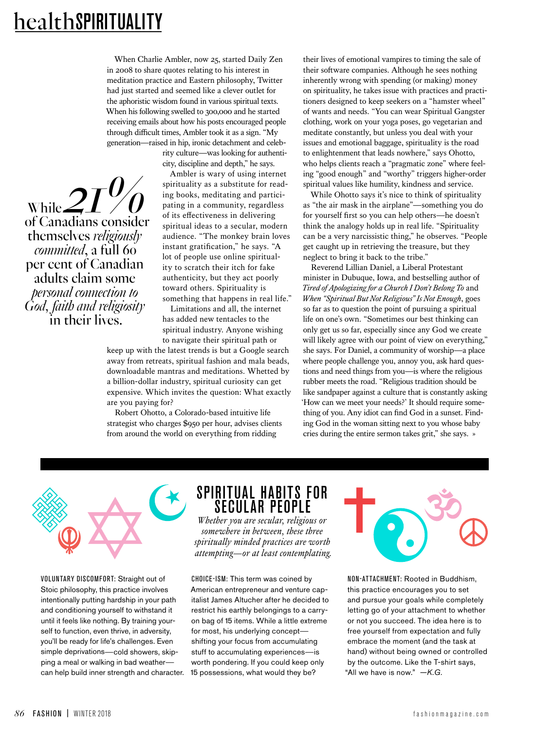of Canadians consider

themselves *religiously committed*, a full 60 per cent of Canadian adults claim some *personal connection to God, faith and religiosity* in their lives.

 $\frac{1}{\sqrt{2}}$  while  $2I^0$ 

When Charlie Ambler, now 25, started Daily Zen in 2008 to share quotes relating to his interest in meditation practice and Eastern philosophy, Twitter had just started and seemed like a clever outlet for the aphoristic wisdom found in various spiritual texts. When his following swelled to 300,000 and he started receiving emails about how his posts encouraged people through difficult times, Ambler took it as a sign. "My generation—raised in hip, ironic detachment and celeb-

> rity culture—was looking for authenticity, discipline and depth," he says.

Ambler is wary of using internet spirituality as a substitute for reading books, meditating and participating in a community, regardless of its effectiveness in delivering spiritual ideas to a secular, modern audience. "The monkey brain loves instant gratification," he says. "A lot of people use online spirituality to scratch their itch for fake authenticity, but they act poorly toward others. Spirituality is something that happens in real life."

Limitations and all, the internet has added new tentacles to the spiritual industry. Anyone wishing to navigate their spiritual path or

keep up with the latest trends is but a Google search away from retreats, spiritual fashion and mala beads, downloadable mantras and meditations. Whetted by a billion-dollar industry, spiritual curiosity can get expensive. Which invites the question: What exactly are you paying for?

Robert Ohotto, a Colorado-based intuitive life strategist who charges \$950 per hour, advises clients from around the world on everything from ridding

their lives of emotional vampires to timing the sale of their software companies. Although he sees nothing inherently wrong with spending (or making) money on spirituality, he takes issue with practices and practitioners designed to keep seekers on a "hamster wheel" of wants and needs. "You can wear Spiritual Gangster clothing, work on your yoga poses, go vegetarian and meditate constantly, but unless you deal with your issues and emotional baggage, spirituality is the road to enlightenment that leads nowhere," says Ohotto, who helps clients reach a "pragmatic zone" where feeling "good enough" and "worthy" triggers higher-order spiritual values like humility, kindness and service.

While Ohotto says it's nice to think of spirituality as "the air mask in the airplane"—something you do for yourself first so you can help others—he doesn't think the analogy holds up in real life. "Spirituality can be a very narcissistic thing," he observes. "People get caught up in retrieving the treasure, but they neglect to bring it back to the tribe."

Reverend Lillian Daniel, a Liberal Protestant minister in Dubuque, Iowa, and bestselling author of *Tired of Apologizing for a Church I Don't Belong To* and *When "Spiritual But Not Religious" Is Not Enough*, goes so far as to question the point of pursuing a spiritual life on one's own. "Sometimes our best thinking can only get us so far, especially since any God we create will likely agree with our point of view on everything," she says. For Daniel, a community of worship—a place where people challenge you, annoy you, ask hard questions and need things from you—is where the religious rubber meets the road. "Religious tradition should be like sandpaper against a culture that is constantly asking 'How can we meet your needs?' It should require something of you. Any idiot can find God in a sunset. Finding God in the woman sitting next to you whose baby cries during the entire sermon takes grit," she says. »

Voluntary Discomfort: Straight out of Stoic philosophy, this practice involves intentionally putting hardship in your path and conditioning yourself to withstand it until it feels like nothing. By training yourself to function, even thrive, in adversity, you'll be ready for life's challenges. Even simple deprivations—cold showers, skipping a meal or walking in bad weather can help build inner strength and character.

#### SPIRITUAL HABITS FOR SECULAR PEOPLE

*Whether you are secular, religious or somewhere in between, these three spiritually minded practices are worth attempting—or at least contemplating.*

CHOICE-ISM: This term was coined by American entrepreneur and venture capitalist James Altucher after he decided to restrict his earthly belongings to a carryon bag of 15 items. While a little extreme for most, his underlying concept shifting your focus from accumulating stuff to accumulating experiences—is worth pondering. If you could keep only 15 possessions, what would they be?



Non-at tachment: Rooted in Buddhism, this practice encourages you to set and pursue your goals while completely letting go of your attachment to whether or not you succeed. The idea here is to free yourself from expectation and fully embrace the moment (and the task at hand) without being owned or controlled by the outcome. Like the T-shirt says, "All we have is now." *—K.G.*